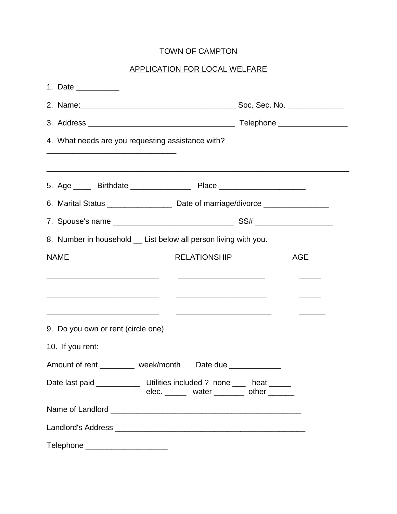# TOWN OF CAMPTON

# APPLICATION FOR LOCAL WELFARE

| 1. Date ___________                                                      |                                                                                                                         |            |  |  |
|--------------------------------------------------------------------------|-------------------------------------------------------------------------------------------------------------------------|------------|--|--|
|                                                                          |                                                                                                                         |            |  |  |
|                                                                          |                                                                                                                         |            |  |  |
| 4. What needs are you requesting assistance with?                        |                                                                                                                         |            |  |  |
|                                                                          |                                                                                                                         |            |  |  |
|                                                                          |                                                                                                                         |            |  |  |
|                                                                          |                                                                                                                         |            |  |  |
|                                                                          |                                                                                                                         |            |  |  |
| 8. Number in household __ List below all person living with you.         |                                                                                                                         |            |  |  |
| <b>NAME</b>                                                              | <b>RELATIONSHIP</b>                                                                                                     | <b>AGE</b> |  |  |
|                                                                          |                                                                                                                         |            |  |  |
|                                                                          | <u> 1989 - Johann John Stone, Amerikaansk politiker (</u> d. 1989)                                                      |            |  |  |
|                                                                          |                                                                                                                         |            |  |  |
| 9. Do you own or rent (circle one)                                       |                                                                                                                         |            |  |  |
| 10. If you rent:                                                         |                                                                                                                         |            |  |  |
| Amount of rent _________ week/month                                      | Date due ______________                                                                                                 |            |  |  |
| Date last paid _______________ Utilities included ? none ____ heat _____ | elec. $\frac{1}{\sqrt{1-\frac{1}{2}}}\$ water $\frac{1}{\sqrt{1-\frac{1}{2}}}\$ other $\frac{1}{\sqrt{1-\frac{1}{2}}}\$ |            |  |  |
|                                                                          |                                                                                                                         |            |  |  |
|                                                                          |                                                                                                                         |            |  |  |
| Telephone ______________________                                         |                                                                                                                         |            |  |  |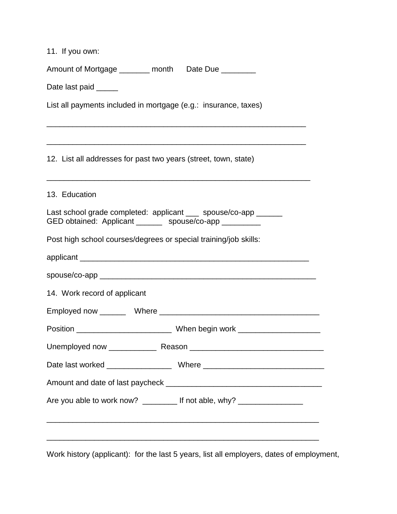| 11. If you own:                                                                                                            |
|----------------------------------------------------------------------------------------------------------------------------|
| Amount of Mortgage _______ month Date Due ________                                                                         |
| Date last paid _____                                                                                                       |
| List all payments included in mortgage (e.g.: insurance, taxes)                                                            |
| 12. List all addresses for past two years (street, town, state)                                                            |
| 13. Education                                                                                                              |
| Last school grade completed: applicant ___ spouse/co-app ______<br>GED obtained: Applicant _______ spouse/co-app _________ |
| Post high school courses/degrees or special training/job skills:                                                           |
|                                                                                                                            |
|                                                                                                                            |
| 14. Work record of applicant                                                                                               |
|                                                                                                                            |
|                                                                                                                            |
|                                                                                                                            |
|                                                                                                                            |
|                                                                                                                            |
| Are you able to work now? _________ If not able, why? __________________                                                   |
| <u> 1989 - Andrea Station Andrea Station (1989), actor a component de la componentation de la componentation de l</u>      |
|                                                                                                                            |

Work history (applicant): for the last 5 years, list all employers, dates of employment,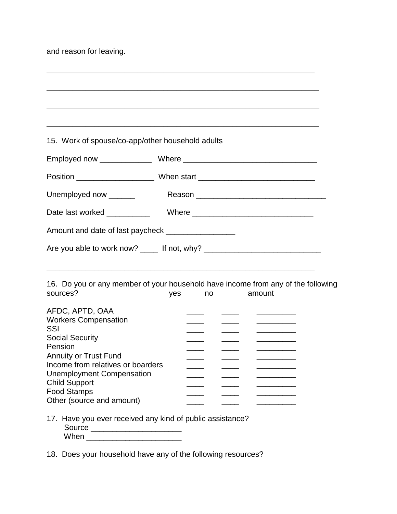and reason for leaving.

| 15. Work of spouse/co-app/other household adults                                             |     |    |               |        |                                                                      |  |
|----------------------------------------------------------------------------------------------|-----|----|---------------|--------|----------------------------------------------------------------------|--|
|                                                                                              |     |    |               |        |                                                                      |  |
|                                                                                              |     |    |               |        |                                                                      |  |
| Unemployed now ______                                                                        |     |    |               |        |                                                                      |  |
|                                                                                              |     |    |               |        |                                                                      |  |
| Amount and date of last paycheck ____________________                                        |     |    |               |        |                                                                      |  |
| Are you able to work now? _____ If not, why? ___________________________________             |     |    |               |        |                                                                      |  |
|                                                                                              |     |    |               |        |                                                                      |  |
| 16. Do you or any member of your household have income from any of the following<br>sources? | yes | no |               | amount |                                                                      |  |
| AFDC, APTD, OAA<br><b>Workers Compensation</b><br>SSI                                        |     |    |               |        | <u> 1980 - Johann Barnett, fransk politiker</u><br>_________________ |  |
| <b>Social Security</b><br>Pension                                                            |     |    | $\frac{1}{1}$ |        |                                                                      |  |
| <b>Annuity or Trust Fund</b><br>Income from relatives or boarders                            |     |    |               |        |                                                                      |  |
| <b>Unemployment Compensation</b><br><b>Child Support</b>                                     |     |    |               |        |                                                                      |  |
| <b>Food Stamps</b><br>Other (source and amount)                                              |     |    |               |        |                                                                      |  |
| 17. Have you ever received any kind of public assistance?<br>Source _______________________  |     |    |               |        |                                                                      |  |
| When ____________________________                                                            |     |    |               |        |                                                                      |  |

\_\_\_\_\_\_\_\_\_\_\_\_\_\_\_\_\_\_\_\_\_\_\_\_\_\_\_\_\_\_\_\_\_\_\_\_\_\_\_\_\_\_\_\_\_\_\_\_\_\_\_\_\_\_\_\_\_\_\_\_\_\_

18. Does your household have any of the following resources?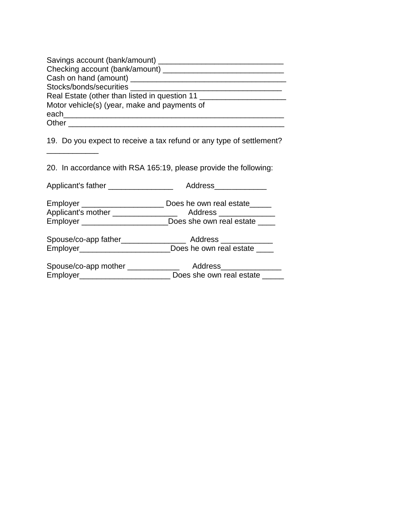| Savings account (bank/amount) ____            |
|-----------------------------------------------|
| Checking account (bank/amount)                |
| Cash on hand (amount) ______                  |
| Stocks/bonds/securities                       |
| Real Estate (other than listed in question 11 |
| Motor vehicle(s) (year, make and payments of  |
| each                                          |
| Other                                         |

19. Do you expect to receive a tax refund or any type of settlement?

20. In accordance with RSA 165:19, please provide the following:

 $\overline{\phantom{a}}$  , where the contract of the contract of the contract of the contract of the contract of the contract of the contract of the contract of the contract of the contract of the contract of the contract of the contr

| Applicant's father ________________    | Address_____________        |
|----------------------------------------|-----------------------------|
| Employer ____________________          | Does he own real estate____ |
| Applicant's mother _______________     | Address _____________       |
|                                        | Does she own real estate    |
| Spouse/co-app father__________________ | Address ______________      |
|                                        |                             |
| Spouse/co-app mother _____________     | Address                     |

Employer\_\_\_\_\_\_\_\_\_\_\_\_\_\_\_\_\_\_\_\_\_\_\_\_\_\_\_\_ Does she own real estate \_\_\_\_\_\_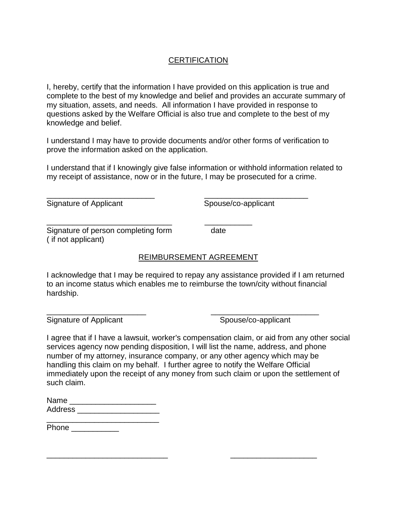## **CERTIFICATION**

I, hereby, certify that the information I have provided on this application is true and complete to the best of my knowledge and belief and provides an accurate summary of my situation, assets, and needs. All information I have provided in response to questions asked by the Welfare Official is also true and complete to the best of my knowledge and belief.

I understand I may have to provide documents and/or other forms of verification to prove the information asked on the application.

\_\_\_\_\_\_\_\_\_\_\_\_\_\_\_\_\_\_\_\_\_\_\_\_\_ \_\_\_\_\_\_\_\_\_\_\_\_\_\_\_\_\_\_\_\_\_\_\_\_

\_\_\_\_\_\_\_\_\_\_\_\_\_\_\_\_\_\_\_\_\_\_\_\_\_\_\_\_\_ \_\_\_\_\_\_\_\_\_\_\_

I understand that if I knowingly give false information or withhold information related to my receipt of assistance, now or in the future, I may be prosecuted for a crime.

Signature of Applicant Spouse/co-applicant

Signature of person completing form date ( if not applicant)

### REIMBURSEMENT AGREEMENT

I acknowledge that I may be required to repay any assistance provided if I am returned to an income status which enables me to reimburse the town/city without financial hardship.

\_\_\_\_\_\_\_\_\_\_\_\_\_\_\_\_\_\_\_\_\_\_\_ \_\_\_\_\_\_\_\_\_\_\_\_\_\_\_\_\_\_\_\_\_\_\_\_\_

\_\_\_\_\_\_\_\_\_\_\_\_\_\_\_\_\_\_\_\_\_\_\_\_\_\_\_\_ \_\_\_\_\_\_\_\_\_\_\_\_\_\_\_\_\_\_\_\_

Signature of Applicant Signature of Applicant

I agree that if I have a lawsuit, worker's compensation claim, or aid from any other social services agency now pending disposition, I will list the name, address, and phone number of my attorney, insurance company, or any other agency which may be handling this claim on my behalf. I further agree to notify the Welfare Official immediately upon the receipt of any money from such claim or upon the settlement of such claim.

| Name    |  |  |
|---------|--|--|
| Address |  |  |
|         |  |  |

Phone \_\_\_\_\_\_\_\_\_\_\_\_\_\_\_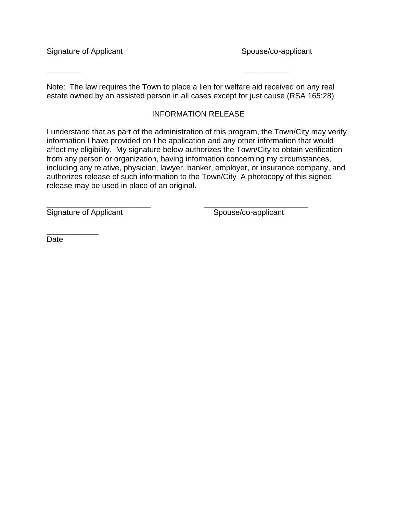Signature of Applicant Signature of Applicant

Note: The law requires the Town to place a lien for welfare aid received on any real estate owned by an assisted person in all cases except for just cause (RSA 165:28)

\_\_\_\_\_\_\_\_ \_\_\_\_\_\_\_\_\_\_

### INFORMATION RELEASE

I understand that as part of the administration of this program, the Town/City may verify information I have provided on t he application and any other information that would affect my eligibility. My signature below authorizes the Town/City to obtain verification from any person or organization, having information concerning my circumstances, including any relative, physician, lawyer, banker, employer, or insurance company, and authorizes release of such information to the Town/City A photocopy of this signed release may be used in place of an original.

\_\_\_\_\_\_\_\_\_\_\_\_\_\_\_\_\_\_\_\_\_\_\_\_ \_\_\_\_\_\_\_\_\_\_\_\_\_\_\_\_\_\_\_\_\_\_\_\_

Signature of Applicant Spouse/co-applicant

\_\_\_\_\_\_\_\_\_\_\_\_ Date